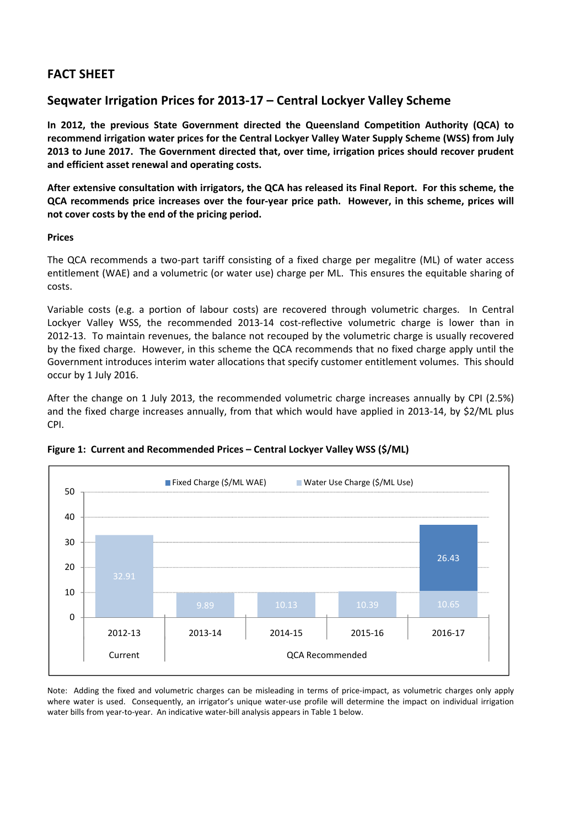# **FACT SHEET**

## **Seqwater Irrigation Prices for 2013‐17 – Central Lockyer Valley Scheme**

**In 2012, the previous State Government directed the Queensland Competition Authority (QCA) to recommend irrigation water prices for the Central Lockyer Valley Water Supply Scheme (WSS) from July 2013 to June 2017. The Government directed that, over time, irrigation prices should recover prudent and efficient asset renewal and operating costs.** 

After extensive consultation with irrigators, the QCA has released its Final Report. For this scheme, the QCA recommends price increases over the four-year price path. However, in this scheme, prices will **not cover costs by the end of the pricing period.**

## **Prices**

The QCA recommends a two-part tariff consisting of a fixed charge per megalitre (ML) of water access entitlement (WAE) and a volumetric (or water use) charge per ML. This ensures the equitable sharing of costs.

Variable costs (e.g. a portion of labour costs) are recovered through volumetric charges. In Central Lockyer Valley WSS, the recommended 2013-14 cost-reflective volumetric charge is lower than in 2012‐13. To maintain revenues, the balance not recouped by the volumetric charge is usually recovered by the fixed charge. However, in this scheme the QCA recommends that no fixed charge apply until the Government introduces interim water allocations that specify customer entitlement volumes. This should occur by 1 July 2016.

After the change on 1 July 2013, the recommended volumetric charge increases annually by CPI (2.5%) and the fixed charge increases annually, from that which would have applied in 2013‐14, by \$2/ML plus CPI.



**Figure 1: Current and Recommended Prices – Central Lockyer Valley WSS (\$/ML)**

Note: Adding the fixed and volumetric charges can be misleading in terms of price-impact, as volumetric charges only apply where water is used. Consequently, an irrigator's unique water-use profile will determine the impact on individual irrigation water bills from year-to-year. An indicative water-bill analysis appears in Table 1 below.